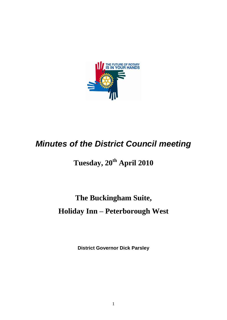

# *Minutes of the District Council meeting*

## **Tuesday, 20 th April 2010**

## **The Buckingham Suite, Holiday Inn – Peterborough West**

**District Governor Dick Parsley**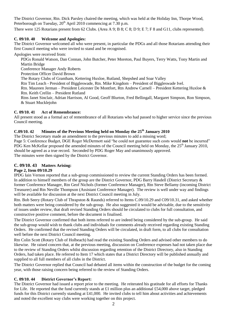The District Governor, Rtn. Dick Parsley chaired the meeting, which was held at the Holiday Inn, Thorpe Wood, Peterborough on Tuesday,  $20^{th}$  April 2010 commencing at 7.30 p.m.

There were 125 Rotarians present from 62 Clubs. (Area A 9; B 8; C 8; D 9; E 7; F 8 and G11, clubs represented).

#### **C. 09/10. 40 Welcome and Apologies:**

The District Governor welcomed all who were present, in particular the PDGs and all those Rotarians attending their first Council meeting who were invited to stand and be recognised.

Apologies were received from:

PDGs Ronald Watson, Dan Connan, John Butcher, Peter Moreton, Paul Buyers, Terry Watts, Tony Martin and Martin Bridge

Conference Manager Andy Roberts

Protection Officer David Brown

The Rotary Clubs of Grantham, Kettering Huxloe, Rutland, Shepshed and Soar Valley

Rtn Tim Leach - President of Biggleswade, Rtn. Mike Kingdom – President of Biggleswade Ivel.

Rtn. Maureen Jerman – President Leicester De Montfort, Rtn Andrew Carnell – President Kettering Huxloe & Rtn. Keith Crellin – President Rutland

Rtns Janet Sinclair, Adrian Harrison, Al Good, Geoff Blurton, Fred Bellingall, Margaret Simpson, Ron Simpson, & Stuart Mucklejohn

#### **C. 09/10. 41 Act of Remembrance:**

All present stood as a formal act of remembrance of all Rotarians who had passed to higher service since the previous Council meeting.

### **C.09/10. 42 Minutes of the Previous Meeting held on Monday the 25th January 2010**

The District Secretary made an amendment to the previous minutes to add a missing word; Page 5: Conference Budget, DGE Roger McDermott said "he could not guarantee such costs would **not** be incurred" PDG Ken McKellar proposed the amended minutes of the Council meeting held on Monday, the 25<sup>th</sup> January 2010, should be agreed as a true record. Seconded by PDG Roger May and unanimously approved. The minutes were then signed by the District Governor.

#### **C. 09/10. 43 Matters Arising:**

#### **Page 2, Item 09/10.29**

IPDG Iain Vernon reported that a sub-group commissioned to review the current Standing Orders has been formed. In addition to himself members of the group are the District Governor, PDG Barry Hasdell (District Secretary & former Conference Manager, Rtn Geof Nichols (former Conference Manager), Rtn Steve Bellamy (incoming District Treasurer) and Rtn Neville Thompson (Assistant Conference Manager). The review is well under way and findings will be available for discussion at the next District Council meeting in July.

Rtn. Bob Seery (Rotary Club of Thrapston & Raunds) referred to Items C.09/10.29 and C09/10.31, and asked whether both matters were being considered by the sub-group. He also suggested it would be advisable, due to the sensitivity of issues under review, that draft revised Standing Orders should be circulated to clubs for full consultation, and constructive positive comment, before the document is finalised.

The District Governor confirmed that both items referred to are indeed being considered by the sub-group. He said the sub-group would wish to thank clubs and individuals for comments already received regarding existing Standing Orders. He confirmed that the revised Standing Orders will be circulated, in draft form, to all clubs for consultation well before the next District Council meeting.

Rtn Colin Scott (Rotary Club of Holbeach) had read the existing Standing Orders and advised other members to do likewise. He raised concern that, at the previous meeting, discussion on Conference expenses had not taken place due to the review of Standing Orders whilst discussion regarding retention of the District Directory, also in Standing Orders, had taken place. He referred to Item 17 which states that a District Directory will be published annually and supplied to all full members of all clubs in the District.

The District Governor replied that Council had debated all items within the construction of the budget for the coming year, with those raising concern being referred to the review of Standing Orders.

#### **C. 09/10. 44 District Governor's Report:**

The District Governor had issued a report prior to the meeting. He reiterated his gratitude for all efforts for Thanks for Life. He reported that the fund currently stands at £1 million plus an additional £54,000 above target, pledged funds for this District currently standing at £41,000. He invited clubs to tell him about activities and achievements and noted the excellent way clubs were working together on this project.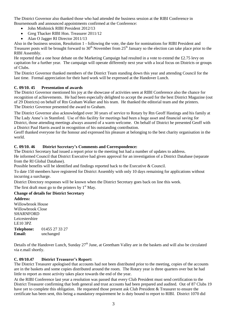The District Governor also thanked those who had attended the business session at the RIBI Conference in Bournemouth and announced appointments confirmed at the Conference:

- John Minhinick RIBI President 2012/13
- Greg Thacker RIBI Hon. Treasurer 2011/12
- Alan O Jagger RI Director 2011/13

Also in the business session, Resolution 1 - following the vote, the date for nominations for RIBI President and Treasurer posts will be brought forward to  $30<sup>th</sup>$  November from  $25<sup>th</sup>$  January so the election can take place prior to the RIBI Assembly.

He reported that a one hour debate on the Marketing Campaign had resulted in a vote to extend the £2.75 levy on capitation for a further year. The campaign will operate differently next year with a local focus on Districts or groups of Clubs.

The District Governor thanked members of the District Team standing down this year and attending Council for the last time. Formal appreciation for their hard work will be expressed at the Handover Lunch.

#### **C. 09/10. 45 Presentation of awards**

The District Governor mentioned his joy at the showcase of activities seen at RIBI Conference also the chance for recognition of achievements. He had been especially delighted to accept the award for the best District Magazine (out of 29 Districts) on behalf of Rtn Graham Walker and his team. He thanked the editorial team and the printers. The District Governor presented the award to Graham.

The District Governor also acknowledged over 30 years of service to Rotary by Rtn Geoff Hastings and his family at The Lady Anne's in Stamford. Use of this facility for meetings had been a huge asset and financial saving for District, those attending meetings always assured of a warm welcome. On behalf of District he presented Geoff with a District Paul Harris award in recognition of his outstanding contribution.

Geoff thanked everyone for the honour and expressed his pleasure at belonging to the best charity organisation in the world.

#### **C. 09/10. 46 District Secretary's Comments and Correspondence:**

The District Secretary had issued a report prior to the meeting but had a number of updates to address.

He informed Council that District Executive had given approval for an investigation of a District Database (separate from the RI Global Database).

Possible benefits will be identified and findings reported back to the Executive & Council.

To date 150 members have registered for District Assembly with only 10 days remaining for applications without incurring a surcharge.

District Directory responses will be known when the District Secretary goes back on line this week.

The first draft must go to the printers by  $1<sup>st</sup>$  May.

### **Change of details for District Secretary**

**Address:** Willowbrook House Willowbrook Close SHARNFORD Leicestershire LE10 3PZ **Telephone:** 01455 27 33 27 **Email:** unchanged

Details of the Handover Lunch, Sunday  $27<sup>th</sup>$  June, at Greetham Valley are in the baskets and will also be circulated via e.mail shortly.

#### **C. 09/10.47 District Treasurer's Report:**

The District Treasurer apologised that accounts had not been distributed prior to the meeting, copies of the accounts are in the baskets and some copies distributed around the room. The Rotary year is three quarters over but he had little to report as most activity takes place towards the end of the year.

At the RIBI Conference last year a resolution was passed that every Club President must send certification to the District Treasurer confirming that both general and trust accounts had been prepared and audited. Out of 87 Clubs 19 have yet to complete this obligation. He requested those present ask Club President & Treasurer to ensure the certificate has been sent, this being a mandatory requirement he is duty bound to report to RIBI. District 1070 did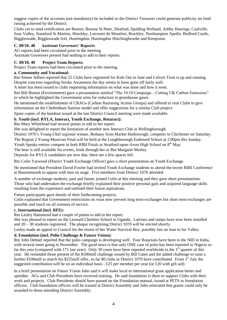suggest copies of the accounts (not mandatory) be included so the District Treasurer could generate publicity on fund raising achieved by the District.

Clubs yet to send certification are Boston, Bourne St Peter, Sleaford, Spalding Welland, Ashby Hastings, Coalville, Soar Valley, Stamford St Martins, Hinckley, Leicester de Montfort, Brackley, Northampton Apollo, Bedford Castle, Biggleswade, Biggleswade Ivel, Huntingdon, Huntingdon Hinchingbrooke and Kempston.

#### **C. 09/10. 48 Assistant Governors' Reports**:

AG reports had been circulated prior to the meeting.

Assistant Governors present had nothing to add to their reports.

#### **C. 09/10. 49 Project Team Reports:**

Project Team reports had been circulated prior to the meeting.

#### **a. Community and Vocational:**

Rtn Simon Adlam reported that 55 Clubs have registered for Kids Out in June and Calvert Trust is up and running. Despite concerns regarding Stroke Awareness the day seems to have gone off fairly well.

A letter has been issued to clubs requesting information on what was done and how it went.

Rtn Bill Burton (Environment) gave a presentation entitled "The 10:10 Campaign – Cutting UK Carbon Emissions" in which he highlighted the Government aims for reduction in greenhouse gases.

He mentioned the establishment of CRAGs (Carbon Rationing Action Groups) and offered to visit Clubs to give information on the Cheltenham Sunrise model and offer suggestions for a similar Club project.

Spare copies of the handout issued at the last District Council meeting were made available.

#### **b. Youth (incl. RYLA, Interact, Youth Exchange, Rotaract):**

Rtn Mary Whitehead had several points to add to her report:

She was delighted to report the formation of another new Interact Club in Wellingborough.

District 1070's Young Chef regional winner, Bethany from Market Harborough, competes in Chichester on Saturday. The Region 2 Young Musician Final will be held at the Loughborough Endowed School at 2.00pm this Sunday.

Youth Speaks entries compete in both RIBI Finals at Stratford-upon-Avon High School on  $8<sup>th</sup>$  May.

The bear is still available for events, book through her or Rtn Margaret Morley.

Deposits for RYLA candidates are now due, there are a few spaces left.

Rtn Colin Yarwood (District Youth Exchange Officer) gave a short presentation on Youth Exchange.

He mentioned that President David Fowler had invited Youth Exchange students to attend the recent RIBI Conference at Bournemouth to appear with him on stage. Five members from District 1070 attended.

A number of exchange students, past and future, joined Colin at this meeting and they gave short presentations. Those who had undertaken the exchange briefly explained their positive personal gain and acquired language skills resulting from the experience and outlined their future aspirations.

Future participants gave details of their forthcoming projects.

Colin explained that Government restrictions on visas now prevent long term exchanges but short term exchanges are possible and touch on all avenues of service.

#### **c. International (incl. RFE):**

Rtn Lesley Hammond had a couple of points to add to her report.

She was pleased to report on the Leonard Cheshire School in Uganda. Latrines and ramps have now been installed and  $20 - 30$  students registered. The plaque recognising District 1070 will be erected shortly.

Lesley made an appeal to Council for the return of her Water Survival Box, possibly last on loan to Ise Valley.

#### **d. Foundation (incl. Polio Challenge & Future Vision):**

Rtn John Dehnel reported that the polio campaign is developing well. Four Rotarians have been to the NID in India, with several more going in November. The good news is that only ONE case of polio has been reported in Nigeria so far this year (compared with 171 last year). Only 39 cases have been reported worldwide in the 1<sup>st</sup> quarter of this year. He reminded those present of the \$100mill challenge issued by Bill Gates and the added challenge to raise a further \$100mill to match his \$255mill offer, so far 80 clubs in District 1070 have contributed. From  $1<sup>st</sup>$  July the suggested contribution will be on an individual basis - £25 per member per year (or £20 with gift aid).

In a brief presentation on Future Vision John said it will make local or international grant application better and speedier. AGs and Club Presidents have received training. He said foundation is there to support Clubs with their work and projects. Club Presidents should have passed on the Foundation manual, issued at PETS to foundation officers. Club foundation officers will be trained at District Assembly and John reiterated that grants could only be awarded to those attending District Assembly.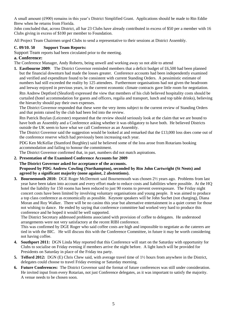A small amount (£900) remains in this year's District Simplified Grant. Applications should be made to Rtn Eddie Brew when he returns from Florida.

John concluded that, across District, all bar 23 Clubs have already contributed in excess of \$50 per a member with 16 Clubs giving in excess of \$100 per member to Foundation.

All Project Team Chairmen urged Clubs to send a representative to their sessions at District Assembly.

#### **C. 09/10. 50 Support Team Reports:**

Support Team reports had been circulated prior to the meeting.

#### **a. Conference:**

The Conference Manager, Andy Roberts, being unwell and working away so not able to attend

**1. Eastbourne 2009**: The District Governor reminded members that a deficit budget of £6,500 had been planned but the financial downturn had made the losses greater. Conference accounts had been independently examined and verified and expenditure found to be consistent with current Standing Orders. A pessimistic estimate of numbers had still exceeded the reality by 125 attendees. Furthermore organisations had not given the headroom and leeway enjoyed in previous years, in the current economic climate contracts gave little room for negotiation.

Rtn Andrew Deptford (Sleaford) expressed the view that members of his club believed hospitality costs should be curtailed (hotel accommodation for guests and officers, regalia and transport, lunch and top table drinks), believing the hierarchy should pay their own expenses.

The District Governor responded that these were the very items subject to the current review of Standing Orders and that points raised by the club had been fed into the review.

Rtn Patrick Boylan (Leicester) requested that the review should seriously look at the claim that we are bound to have both an Assembly and a Conference asking whether it was obligatory to have both. He believed Districts outside the UK seem to have what we call Conference as an Assembly.

The District Governor said the suggestion would be looked at and remarked that the £13,000 loss does come out of the conference reserve which had previously been increasing each year.

PDG Ken McKellar (Stamford Burghley) said he believed some of the loss arose from Rotarians booking accommodation and failing to honour the commitment.

The District Governor confirmed that, in part, numbers did not match aspirations.

#### **2. Presentation of the Examined Conference Accounts for 2009**

**The District Governor asked for acceptance of the accounts.** 

**Proposed by PDG Andrew Cowling (Northampton), seconded by Rtn John Cartwright (St Neots) and agreed by a significant majority (none against, 2 abstentions).**

**3. Bournemouth 2010:** DGE Roger McDermott said Bournemouth was chosen 2½ years ago. Problems from last year have been taken into account and every effort made to reduce costs and liabilities where possible. At the HQ hotel the liability for 150 rooms has been reduced to just 90 rooms to prevent overexposure. The Friday night concert costs have been limited by involving voluntary organisations and young people. It was aimed to produce a top class conference as economically as possible. Keynote speakers will be John Suchet (not charging), Diana Moran and Roy Walker. There will be no casino this year but alternative entertainment in a quiet corner for those not wishing to dance. He ended by saying that conference committee had worked very hard to produce this conference and he hoped it would be well supported.

The District Secretary addressed problems associated with provision of coffee to delegates. He understood arrangements were not very satisfactory at the recent RIBI conference.

This was confirmed by DGE Roger who said coffee costs are high and impossible to negotiate as the caterers are tied in with the BIC. He will discuss this with the Conference Committee, in future it may be worth considering not having coffee.

- **4. Southport 2011:** DGN Linda May reported that this Conference will start on the Saturday with opportunity for Clubs to socialise on Friday evening if members arrive the night before. A light lunch will be provided for Presidents on Saturday in place of the Friday tea party.
- **5. Telford 2012:** DGN (E) Chris Chew said, with average travel time of 1½ hours from anywhere in the District, delegates could choose to travel Friday evening or Saturday morning.
- **6. Future Conferences:** The District Governor said the format of future conferences was still under consideration. He invited input from every Rotarian, not just Conference delegates, as it was important to satisfy the majority. A venue needs to be chosen soon.